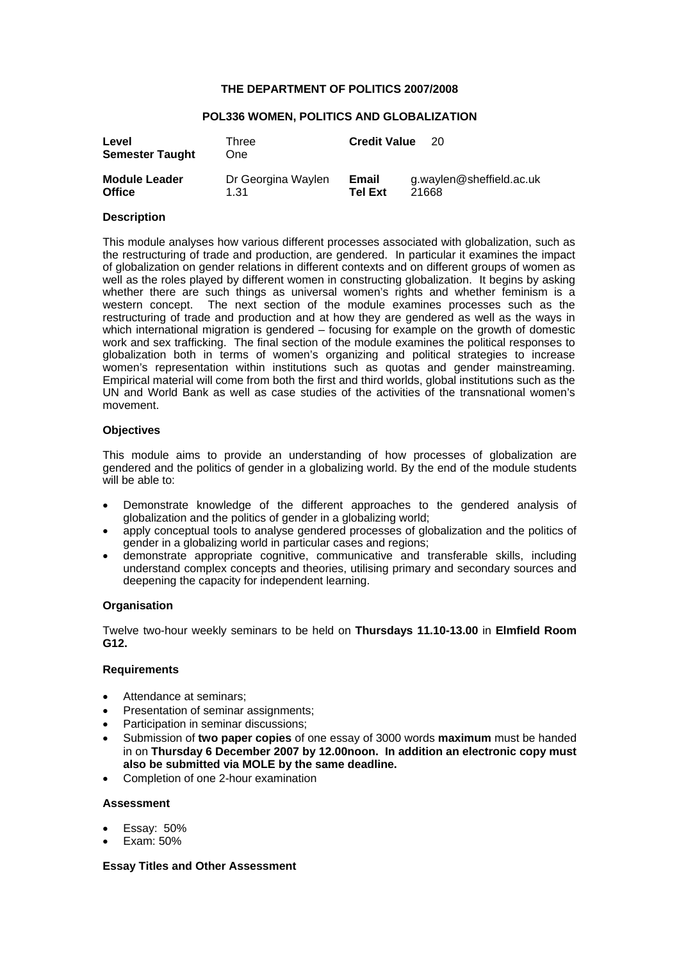# **THE DEPARTMENT OF POLITICS 2007/2008**

# **POL336 WOMEN, POLITICS AND GLOBALIZATION**

| Level<br><b>Semester Taught</b> | <b>Three</b><br>One | <b>Credit Value</b> | 20                       |
|---------------------------------|---------------------|---------------------|--------------------------|
| <b>Module Leader</b>            | Dr Georgina Waylen  | Email               | g.waylen@sheffield.ac.uk |
| <b>Office</b>                   | 1.31                | <b>Tel Ext</b>      | 21668                    |

#### **Description**

This module analyses how various different processes associated with globalization, such as the restructuring of trade and production, are gendered. In particular it examines the impact of globalization on gender relations in different contexts and on different groups of women as well as the roles played by different women in constructing globalization. It begins by asking whether there are such things as universal women's rights and whether feminism is a western concept. The next section of the module examines processes such as the restructuring of trade and production and at how they are gendered as well as the ways in which international migration is gendered – focusing for example on the growth of domestic work and sex trafficking. The final section of the module examines the political responses to globalization both in terms of women's organizing and political strategies to increase women's representation within institutions such as quotas and gender mainstreaming. Empirical material will come from both the first and third worlds, global institutions such as the UN and World Bank as well as case studies of the activities of the transnational women's movement.

# **Objectives**

This module aims to provide an understanding of how processes of globalization are gendered and the politics of gender in a globalizing world. By the end of the module students will be able to:

- Demonstrate knowledge of the different approaches to the gendered analysis of globalization and the politics of gender in a globalizing world;
- apply conceptual tools to analyse gendered processes of globalization and the politics of gender in a globalizing world in particular cases and regions;
- demonstrate appropriate cognitive, communicative and transferable skills, including understand complex concepts and theories, utilising primary and secondary sources and deepening the capacity for independent learning.

# **Organisation**

Twelve two-hour weekly seminars to be held on **Thursdays 11.10-13.00** in **Elmfield Room G12.**

#### **Requirements**

- Attendance at seminars:
- Presentation of seminar assignments;
- Participation in seminar discussions;
- Submission of **two paper copies** of one essay of 3000 words **maximum** must be handed in on **Thursday 6 December 2007 by 12.00noon. In addition an electronic copy must also be submitted via MOLE by the same deadline.**
- Completion of one 2-hour examination

#### **Assessment**

- Essay: 50%
- Exam: 50%

#### **Essay Titles and Other Assessment**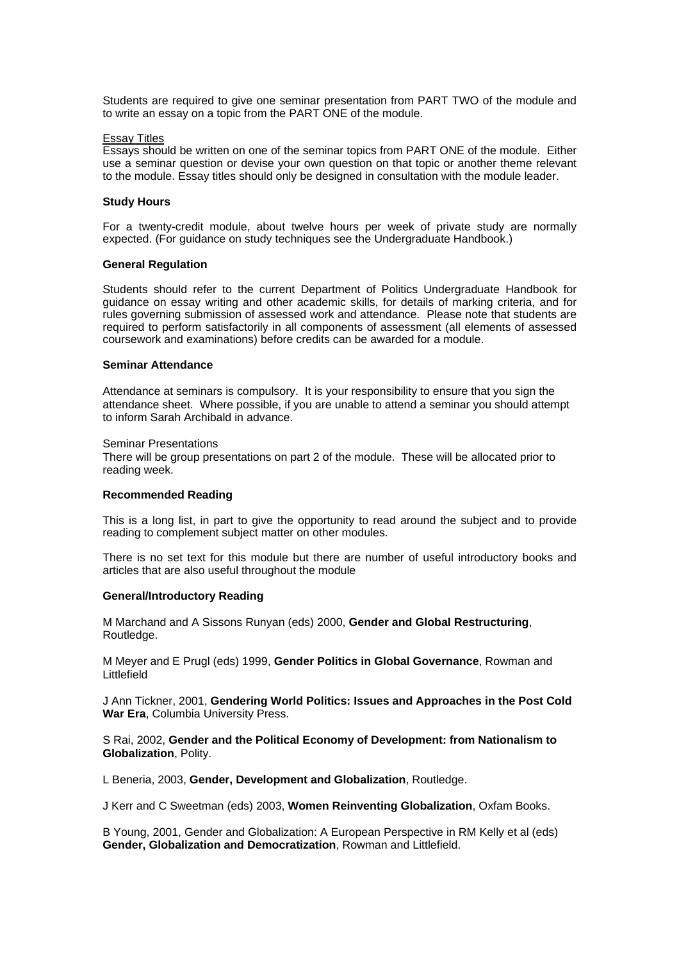Students are required to give one seminar presentation from PART TWO of the module and to write an essay on a topic from the PART ONE of the module.

#### Essay Titles

Essays should be written on one of the seminar topics from PART ONE of the module. Either use a seminar question or devise your own question on that topic or another theme relevant to the module. Essay titles should only be designed in consultation with the module leader.

#### **Study Hours**

For a twenty-credit module, about twelve hours per week of private study are normally expected. (For guidance on study techniques see the Undergraduate Handbook.)

# **General Regulation**

Students should refer to the current Department of Politics Undergraduate Handbook for guidance on essay writing and other academic skills, for details of marking criteria, and for rules governing submission of assessed work and attendance. Please note that students are required to perform satisfactorily in all components of assessment (all elements of assessed coursework and examinations) before credits can be awarded for a module.

#### **Seminar Attendance**

Attendance at seminars is compulsory. It is your responsibility to ensure that you sign the attendance sheet. Where possible, if you are unable to attend a seminar you should attempt to inform Sarah Archibald in advance.

#### Seminar Presentations

There will be group presentations on part 2 of the module. These will be allocated prior to reading week.

#### **Recommended Reading**

This is a long list, in part to give the opportunity to read around the subject and to provide reading to complement subject matter on other modules.

There is no set text for this module but there are number of useful introductory books and articles that are also useful throughout the module

#### **General/Introductory Reading**

M Marchand and A Sissons Runyan (eds) 2000, **Gender and Global Restructuring**, Routledge.

M Meyer and E Prugl (eds) 1999, **Gender Politics in Global Governance**, Rowman and Littlefield

J Ann Tickner, 2001, **Gendering World Politics: Issues and Approaches in the Post Cold War Era**, Columbia University Press.

S Rai, 2002, **Gender and the Political Economy of Development: from Nationalism to Globalization**, Polity.

L Beneria, 2003, **Gender, Development and Globalization**, Routledge.

J Kerr and C Sweetman (eds) 2003, **Women Reinventing Globalization**, Oxfam Books.

B Young, 2001, Gender and Globalization: A European Perspective in RM Kelly et al (eds) **Gender, Globalization and Democratization**, Rowman and Littlefield.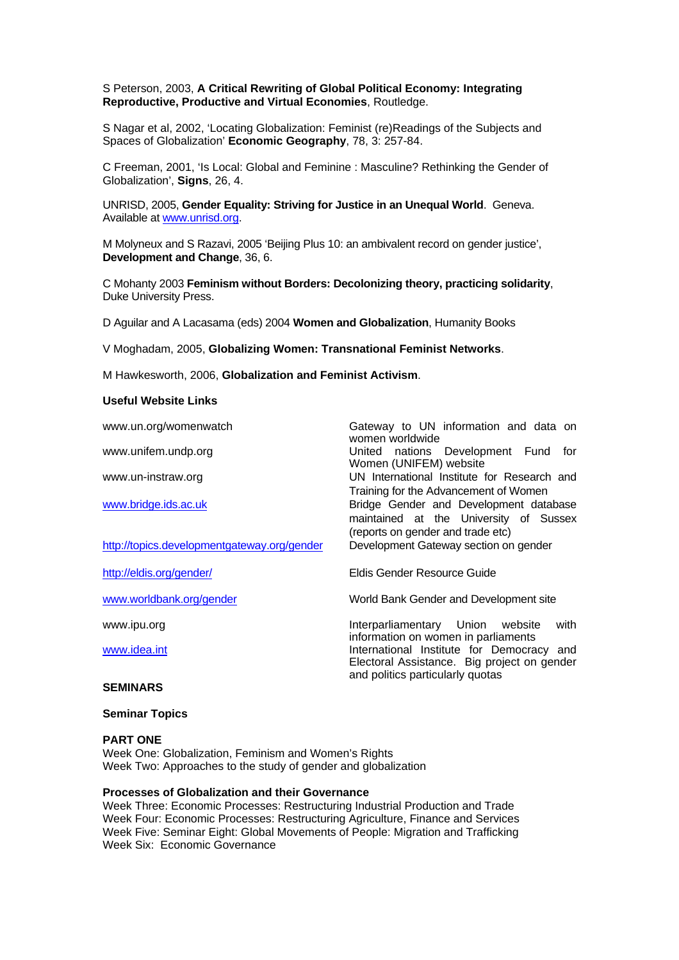# S Peterson, 2003, **A Critical Rewriting of Global Political Economy: Integrating Reproductive, Productive and Virtual Economies**, Routledge.

S Nagar et al, 2002, 'Locating Globalization: Feminist (re)Readings of the Subjects and Spaces of Globalization' **Economic Geography**, 78, 3: 257-84.

C Freeman, 2001, 'Is Local: Global and Feminine : Masculine? Rethinking the Gender of Globalization', **Signs**, 26, 4.

UNRISD, 2005, **Gender Equality: Striving for Justice in an Unequal World**. Geneva. Available at [www.unrisd.org](http://www.unrisd.org/).

M Molyneux and S Razavi, 2005 'Beijing Plus 10: an ambivalent record on gender justice', **Development and Change**, 36, 6.

C Mohanty 2003 **Feminism without Borders: Decolonizing theory, practicing solidarity**, Duke University Press.

D Aguilar and A Lacasama (eds) 2004 **Women and Globalization**, Humanity Books

V Moghadam, 2005, **Globalizing Women: Transnational Feminist Networks**.

M Hawkesworth, 2006, **Globalization and Feminist Activism**.

#### **Useful Website Links**

| www.un.org/womenwatch                       | Gateway to UN information and data on<br>women worldwide                                                                     |
|---------------------------------------------|------------------------------------------------------------------------------------------------------------------------------|
| www.unifem.undp.org                         | United nations Development Fund for<br>Women (UNIFEM) website                                                                |
| www.un-instraw.org                          | UN International Institute for Research and<br>Training for the Advancement of Women                                         |
| www.bridge.ids.ac.uk                        | Bridge Gender and Development database<br>maintained at the University of Sussex<br>(reports on gender and trade etc)        |
| http://topics.developmentgateway.org/gender | Development Gateway section on gender                                                                                        |
| http://eldis.org/gender/                    | Eldis Gender Resource Guide                                                                                                  |
| www.worldbank.org/gender                    | World Bank Gender and Development site                                                                                       |
| www.ipu.org                                 | Interparliamentary Union website<br>with<br>information on women in parliaments                                              |
| www.idea.int                                | International Institute for Democracy and<br>Electoral Assistance. Big project on gender<br>and politics particularly quotas |
| <b>SEMINARS</b>                             |                                                                                                                              |

# **Seminar Topics**

# **PART ONE**

Week One: Globalization, Feminism and Women's Rights Week Two: Approaches to the study of gender and globalization

# **Processes of Globalization and their Governance**

Week Three: Economic Processes: Restructuring Industrial Production and Trade Week Four: Economic Processes: Restructuring Agriculture, Finance and Services Week Five: Seminar Eight: Global Movements of People: Migration and Trafficking Week Six: Economic Governance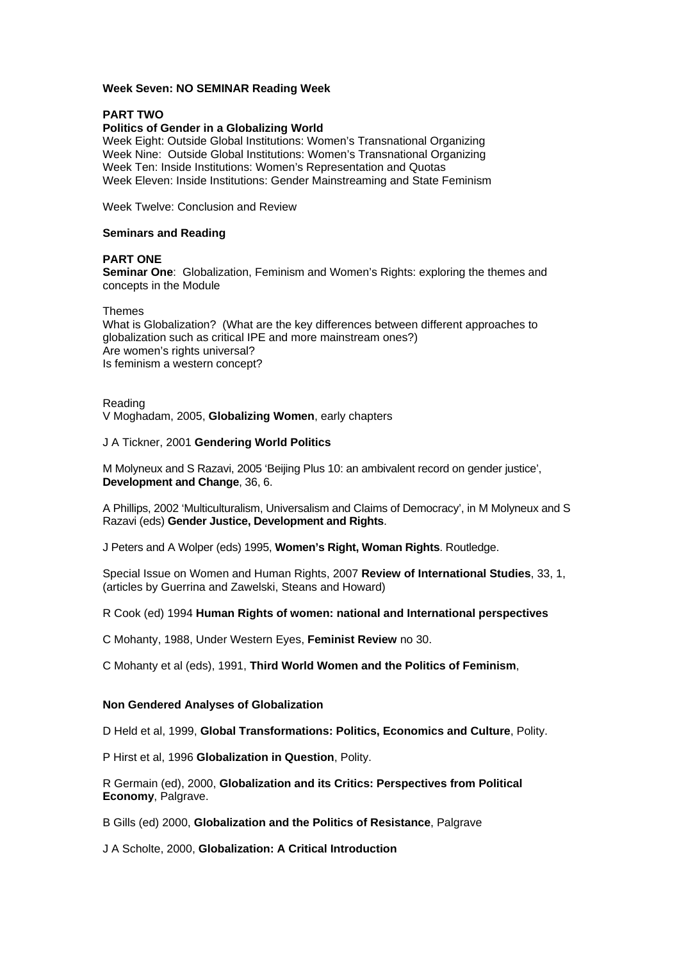# **Week Seven: NO SEMINAR Reading Week**

# **PART TWO**

#### **Politics of Gender in a Globalizing World**

Week Eight: Outside Global Institutions: Women's Transnational Organizing Week Nine: Outside Global Institutions: Women's Transnational Organizing Week Ten: Inside Institutions: Women's Representation and Quotas Week Eleven: Inside Institutions: Gender Mainstreaming and State Feminism

Week Twelve: Conclusion and Review

# **Seminars and Reading**

# **PART ONE**

**Seminar One**: Globalization, Feminism and Women's Rights: exploring the themes and concepts in the Module

#### Themes

What is Globalization? (What are the key differences between different approaches to globalization such as critical IPE and more mainstream ones?) Are women's rights universal? Is feminism a western concept?

#### Reading

V Moghadam, 2005, **Globalizing Women**, early chapters

# J A Tickner, 2001 **Gendering World Politics**

M Molyneux and S Razavi, 2005 'Beijing Plus 10: an ambivalent record on gender justice', **Development and Change**, 36, 6.

A Phillips, 2002 'Multiculturalism, Universalism and Claims of Democracy', in M Molyneux and S Razavi (eds) **Gender Justice, Development and Rights**.

J Peters and A Wolper (eds) 1995, **Women's Right, Woman Rights**. Routledge.

Special Issue on Women and Human Rights, 2007 **Review of International Studies**, 33, 1, (articles by Guerrina and Zawelski, Steans and Howard)

# R Cook (ed) 1994 **Human Rights of women: national and International perspectives**

C Mohanty, 1988, Under Western Eyes, **Feminist Review** no 30.

C Mohanty et al (eds), 1991, **Third World Women and the Politics of Feminism**,

# **Non Gendered Analyses of Globalization**

D Held et al, 1999, **Global Transformations: Politics, Economics and Culture**, Polity.

P Hirst et al, 1996 **Globalization in Question**, Polity.

R Germain (ed), 2000, **Globalization and its Critics: Perspectives from Political Economy**, Palgrave.

B Gills (ed) 2000, **Globalization and the Politics of Resistance**, Palgrave

J A Scholte, 2000, **Globalization: A Critical Introduction**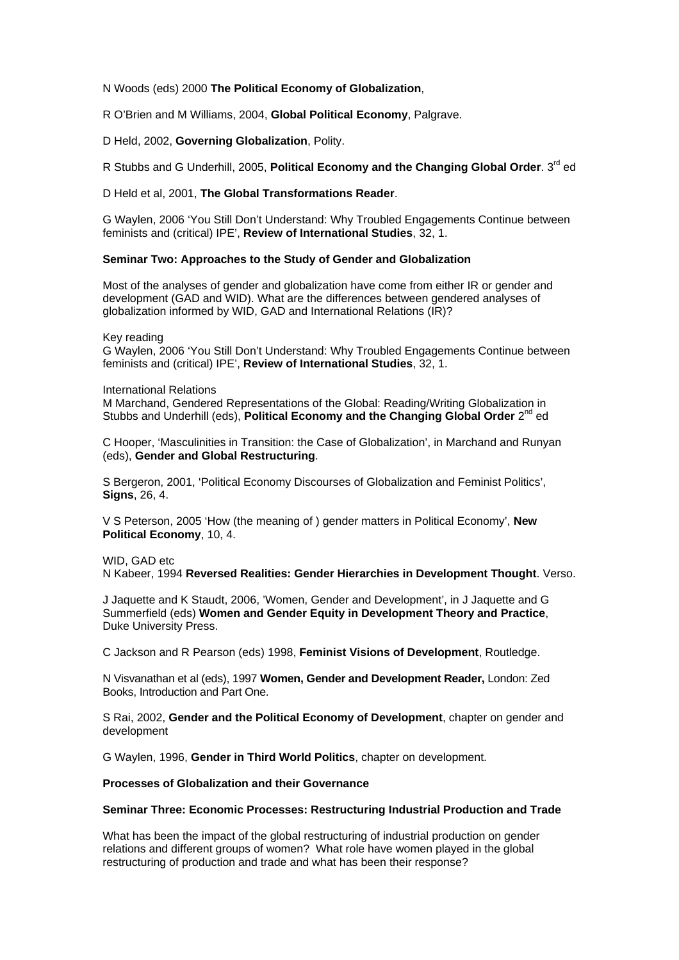N Woods (eds) 2000 **The Political Economy of Globalization**,

R O'Brien and M Williams, 2004, **Global Political Economy**, Palgrave.

D Held, 2002, **Governing Globalization**, Polity.

R Stubbs and G Underhill, 2005. **Political Economy and the Changing Global Order**. 3<sup>rd</sup> ed

D Held et al, 2001, **The Global Transformations Reader**.

G Waylen, 2006 'You Still Don't Understand: Why Troubled Engagements Continue between feminists and (critical) IPE', **Review of International Studies**, 32, 1.

#### **Seminar Two: Approaches to the Study of Gender and Globalization**

Most of the analyses of gender and globalization have come from either IR or gender and development (GAD and WID). What are the differences between gendered analyses of globalization informed by WID, GAD and International Relations (IR)?

Key reading

G Waylen, 2006 'You Still Don't Understand: Why Troubled Engagements Continue between feminists and (critical) IPE', **Review of International Studies**, 32, 1.

International Relations

M Marchand, Gendered Representations of the Global: Reading/Writing Globalization in Stubbs and Underhill (eds), **Political Economy and the Changing Global Order** 2<sup>nd</sup> ed

C Hooper, 'Masculinities in Transition: the Case of Globalization', in Marchand and Runyan (eds), **Gender and Global Restructuring**.

S Bergeron, 2001, 'Political Economy Discourses of Globalization and Feminist Politics', **Signs**, 26, 4.

V S Peterson, 2005 'How (the meaning of ) gender matters in Political Economy', **New Political Economy**, 10, 4.

WID, GAD etc. N Kabeer, 1994 **Reversed Realities: Gender Hierarchies in Development Thought**. Verso.

J Jaquette and K Staudt, 2006, 'Women, Gender and Development', in J Jaquette and G Summerfield (eds) **Women and Gender Equity in Development Theory and Practice**, Duke University Press.

C Jackson and R Pearson (eds) 1998, **Feminist Visions of Development**, Routledge.

N Visvanathan et al (eds), 1997 **Women, Gender and Development Reader,** London: Zed Books, Introduction and Part One.

S Rai, 2002, **Gender and the Political Economy of Development**, chapter on gender and development

G Waylen, 1996, **Gender in Third World Politics**, chapter on development.

# **Processes of Globalization and their Governance**

#### **Seminar Three: Economic Processes: Restructuring Industrial Production and Trade**

What has been the impact of the global restructuring of industrial production on gender relations and different groups of women? What role have women played in the global restructuring of production and trade and what has been their response?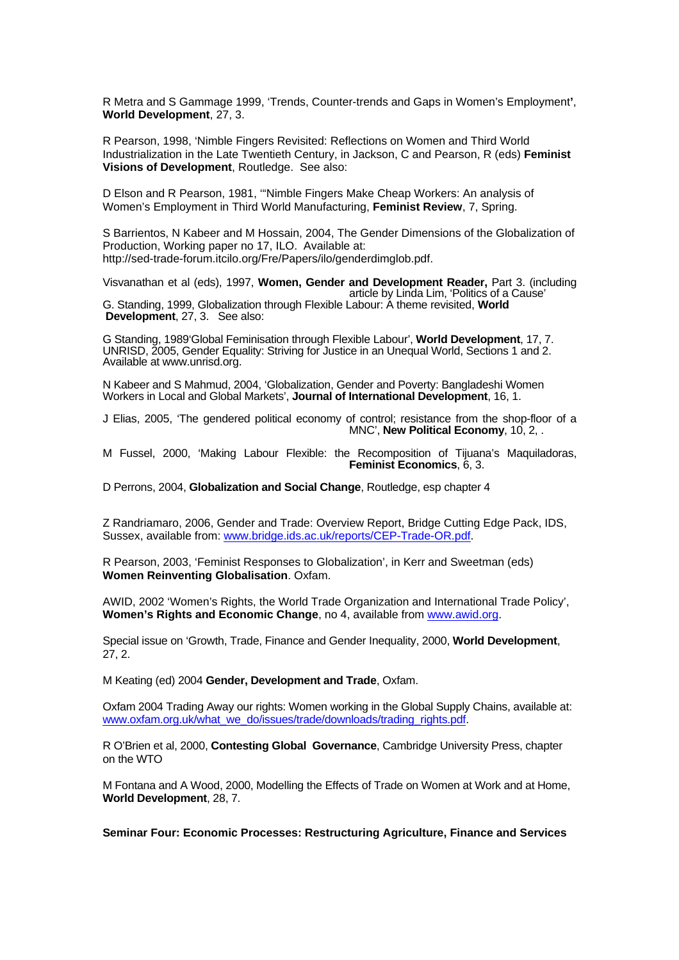R Metra and S Gammage 1999, 'Trends, Counter-trends and Gaps in Women's Employment**'**, **World Development**, 27, 3.

R Pearson, 1998, 'Nimble Fingers Revisited: Reflections on Women and Third World Industrialization in the Late Twentieth Century, in Jackson, C and Pearson, R (eds) **Feminist Visions of Development**, Routledge. See also:

D Elson and R Pearson, 1981, '"Nimble Fingers Make Cheap Workers: An analysis of Women's Employment in Third World Manufacturing, **Feminist Review**, 7, Spring.

S Barrientos, N Kabeer and M Hossain, 2004, The Gender Dimensions of the Globalization of Production, Working paper no 17, ILO. Available at: http://sed-trade-forum.itcilo.org/Fre/Papers/ilo/genderdimglob.pdf.

Visvanathan et al (eds), 1997, **Women, Gender and Development Reader,** Part 3. (including article by Linda Lim, 'Politics of a Cause' G. Standing, 1999, Globalization through Flexible Labour: A theme revisited, **World Development**, 27, 3. See also:

G Standing, 1989'Global Feminisation through Flexible Labour', **World Development**, 17, 7. UNRISD, 2005, Gender Equality: Striving for Justice in an Unequal World, Sections 1 and 2. Available at www.unrisd.org.

N Kabeer and S Mahmud, 2004, 'Globalization, Gender and Poverty: Bangladeshi Women Workers in Local and Global Markets', **Journal of International Development**, 16, 1.

J Elias, 2005, 'The gendered political economy of control; resistance from the shop-floor of a MNC', **New Political Economy**, 10, 2, .

M Fussel, 2000, 'Making Labour Flexible: the Recomposition of Tijuana's Maquiladoras, **Feminist Economics**, 6, 3.

D Perrons, 2004, **Globalization and Social Change**, Routledge, esp chapter 4

Z Randriamaro, 2006, Gender and Trade: Overview Report, Bridge Cutting Edge Pack, IDS, Sussex, available from: [www.bridge.ids.ac.uk/reports/CEP-Trade-OR.pdf](http://www.bridge.ids.ac.uk/reports/CEP-Trade-OR.pdf).

R Pearson, 2003, 'Feminist Responses to Globalization', in Kerr and Sweetman (eds) **Women Reinventing Globalisation**. Oxfam.

AWID, 2002 'Women's Rights, the World Trade Organization and International Trade Policy', **Women's Rights and Economic Change**, no 4, available from [www.awid.org.](http://www.awid.org/)

Special issue on 'Growth, Trade, Finance and Gender Inequality, 2000, **World Development**, 27, 2.

M Keating (ed) 2004 **Gender, Development and Trade**, Oxfam.

Oxfam 2004 Trading Away our rights: Women working in the Global Supply Chains, available at: [www.oxfam.org.uk/what\\_we\\_do/issues/trade/downloads/trading\\_rights.pdf](http://www.oxfam.org.uk/what_we_do/issues/trade/downloads/trading_rights.pdf).

R O'Brien et al, 2000, **Contesting Global Governance**, Cambridge University Press, chapter on the WTO

M Fontana and A Wood, 2000, Modelling the Effects of Trade on Women at Work and at Home, **World Development**, 28, 7.

**Seminar Four: Economic Processes: Restructuring Agriculture, Finance and Services**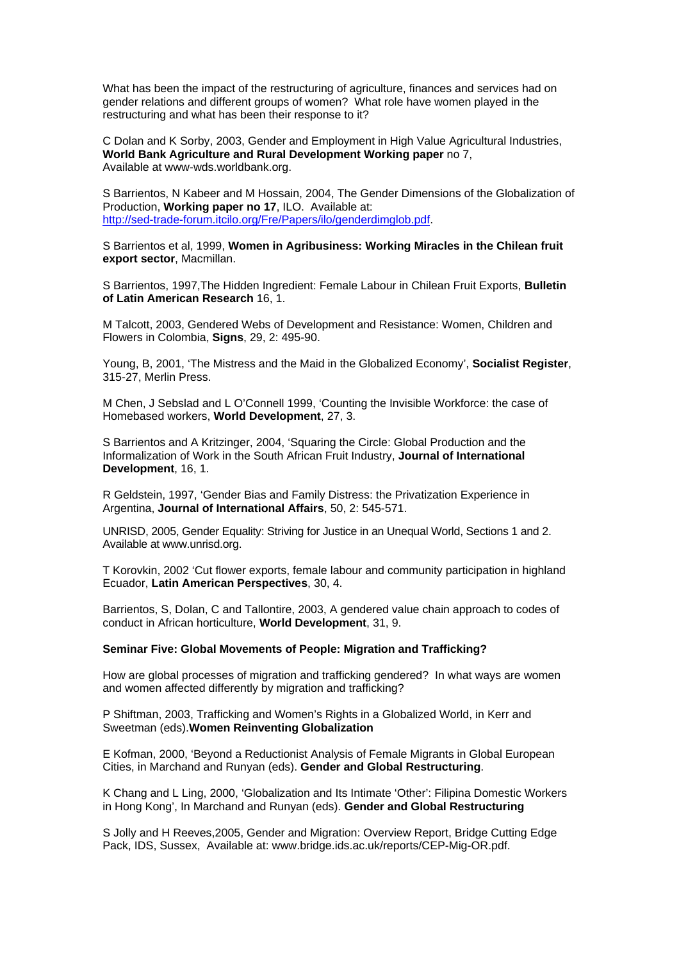What has been the impact of the restructuring of agriculture, finances and services had on gender relations and different groups of women? What role have women played in the restructuring and what has been their response to it?

C Dolan and K Sorby, 2003, Gender and Employment in High Value Agricultural Industries, **World Bank Agriculture and Rural Development Working paper** no 7, Available at www-wds.worldbank.org.

S Barrientos, N Kabeer and M Hossain, 2004, The Gender Dimensions of the Globalization of Production, **Working paper no 17**, ILO. Available at: [http://sed-trade-forum.itcilo.org/Fre/Papers/ilo/genderdimglob.pdf.](http://sed-trade-forum.itcilo.org/Fre/Papers/ilo/genderdimglob.pdf)

S Barrientos et al, 1999, **Women in Agribusiness: Working Miracles in the Chilean fruit export sector**, Macmillan.

S Barrientos, 1997,The Hidden Ingredient: Female Labour in Chilean Fruit Exports, **Bulletin of Latin American Research** 16, 1.

M Talcott, 2003, Gendered Webs of Development and Resistance: Women, Children and Flowers in Colombia, **Signs**, 29, 2: 495-90.

Young, B, 2001, 'The Mistress and the Maid in the Globalized Economy', **Socialist Register**, 315-27, Merlin Press.

M Chen, J Sebslad and L O'Connell 1999, 'Counting the Invisible Workforce: the case of Homebased workers, **World Development**, 27, 3.

S Barrientos and A Kritzinger, 2004, 'Squaring the Circle: Global Production and the Informalization of Work in the South African Fruit Industry, **Journal of International Development**, 16, 1.

R Geldstein, 1997, 'Gender Bias and Family Distress: the Privatization Experience in Argentina, **Journal of International Affairs**, 50, 2: 545-571.

UNRISD, 2005, Gender Equality: Striving for Justice in an Unequal World, Sections 1 and 2. Available at www.unrisd.org.

T Korovkin, 2002 'Cut flower exports, female labour and community participation in highland Ecuador, **Latin American Perspectives**, 30, 4.

Barrientos, S, Dolan, C and Tallontire, 2003, A gendered value chain approach to codes of conduct in African horticulture, **World Development**, 31, 9.

#### **Seminar Five: Global Movements of People: Migration and Trafficking?**

How are global processes of migration and trafficking gendered? In what ways are women and women affected differently by migration and trafficking?

P Shiftman, 2003, Trafficking and Women's Rights in a Globalized World, in Kerr and Sweetman (eds).**Women Reinventing Globalization**

E Kofman, 2000, 'Beyond a Reductionist Analysis of Female Migrants in Global European Cities, in Marchand and Runyan (eds). **Gender and Global Restructuring**.

K Chang and L Ling, 2000, 'Globalization and Its Intimate 'Other': Filipina Domestic Workers in Hong Kong', In Marchand and Runyan (eds). **Gender and Global Restructuring**

S Jolly and H Reeves,2005, Gender and Migration: Overview Report, Bridge Cutting Edge Pack, IDS, Sussex, Available at: www.bridge.ids.ac.uk/reports/CEP-Mig-OR.pdf.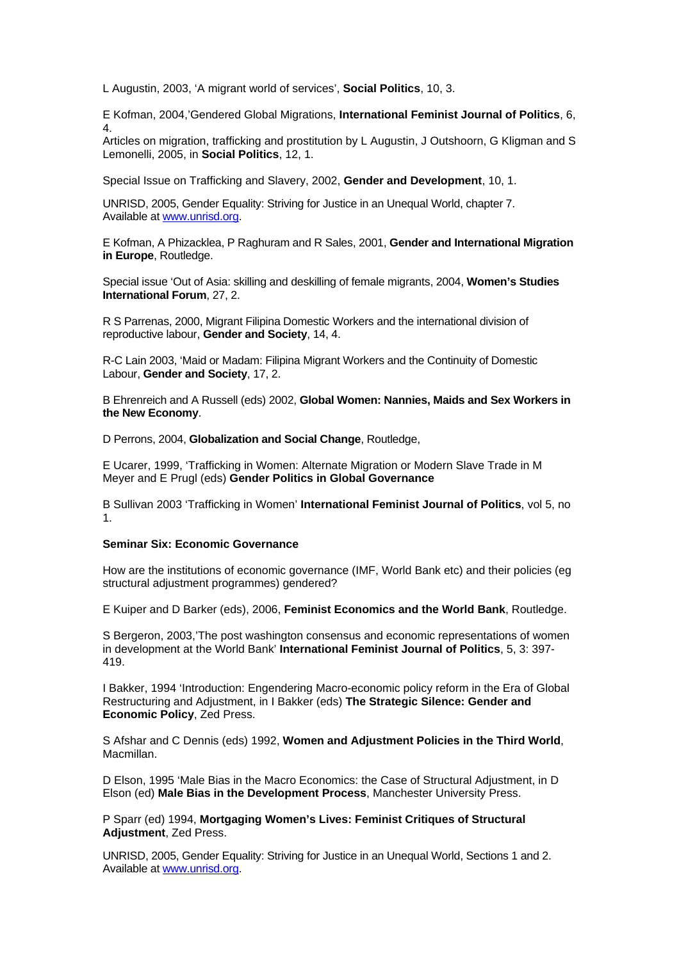L Augustin, 2003, 'A migrant world of services', **Social Politics**, 10, 3.

E Kofman, 2004,'Gendered Global Migrations, **International Feminist Journal of Politics**, 6, 4.

Articles on migration, trafficking and prostitution by L Augustin, J Outshoorn, G Kligman and S Lemonelli, 2005, in **Social Politics**, 12, 1.

Special Issue on Trafficking and Slavery, 2002, **Gender and Development**, 10, 1.

UNRISD, 2005, Gender Equality: Striving for Justice in an Unequal World, chapter 7. Available at [www.unrisd.org](http://www.unrisd.org/).

E Kofman, A Phizacklea, P Raghuram and R Sales, 2001, **Gender and International Migration in Europe**, Routledge.

Special issue 'Out of Asia: skilling and deskilling of female migrants, 2004, **Women's Studies International Forum**, 27, 2.

R S Parrenas, 2000, Migrant Filipina Domestic Workers and the international division of reproductive labour, **Gender and Society**, 14, 4.

R-C Lain 2003, 'Maid or Madam: Filipina Migrant Workers and the Continuity of Domestic Labour, **Gender and Society**, 17, 2.

B Ehrenreich and A Russell (eds) 2002, **Global Women: Nannies, Maids and Sex Workers in the New Economy**.

D Perrons, 2004, **Globalization and Social Change**, Routledge,

E Ucarer, 1999, 'Trafficking in Women: Alternate Migration or Modern Slave Trade in M Meyer and E Prugl (eds) **Gender Politics in Global Governance**

B Sullivan 2003 'Trafficking in Women' **International Feminist Journal of Politics**, vol 5, no 1.

# **Seminar Six: Economic Governance**

How are the institutions of economic governance (IMF, World Bank etc) and their policies (eg structural adjustment programmes) gendered?

E Kuiper and D Barker (eds), 2006, **Feminist Economics and the World Bank**, Routledge.

S Bergeron, 2003,'The post washington consensus and economic representations of women in development at the World Bank' **International Feminist Journal of Politics**, 5, 3: 397- 419.

I Bakker, 1994 'Introduction: Engendering Macro-economic policy reform in the Era of Global Restructuring and Adjustment, in I Bakker (eds) **The Strategic Silence: Gender and Economic Policy**, Zed Press.

S Afshar and C Dennis (eds) 1992, **Women and Adjustment Policies in the Third World**, Macmillan.

D Elson, 1995 'Male Bias in the Macro Economics: the Case of Structural Adjustment, in D Elson (ed) **Male Bias in the Development Process**, Manchester University Press.

P Sparr (ed) 1994, **Mortgaging Women's Lives: Feminist Critiques of Structural Adjustment**, Zed Press.

UNRISD, 2005, Gender Equality: Striving for Justice in an Unequal World, Sections 1 and 2. Available at [www.unrisd.org](http://www.unrisd.org/).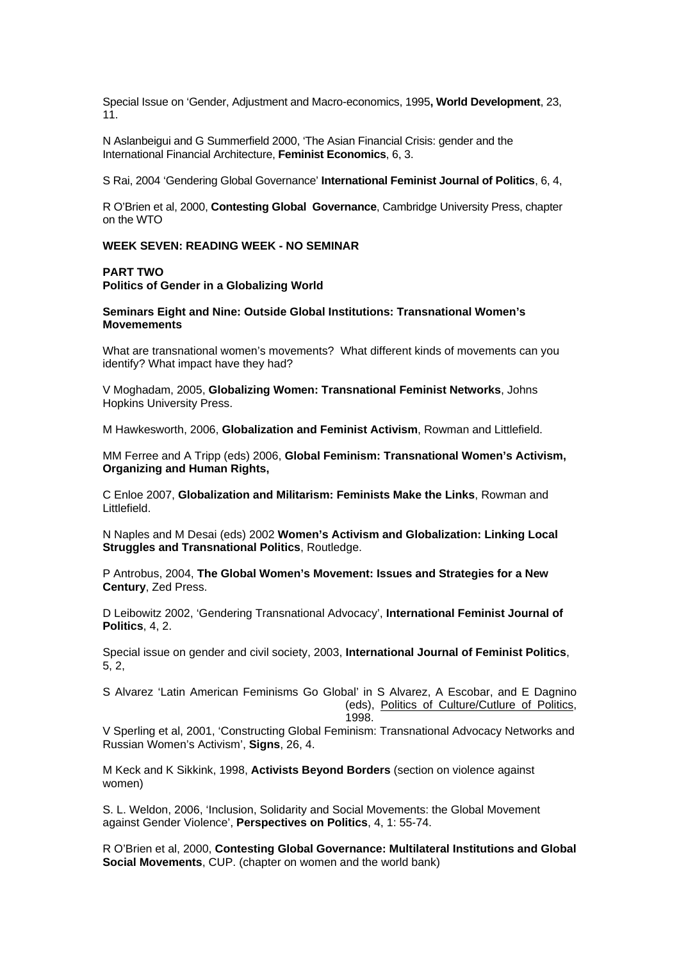Special Issue on 'Gender, Adjustment and Macro-economics, 1995**, World Development**, 23, 11.

N Aslanbeigui and G Summerfield 2000, 'The Asian Financial Crisis: gender and the International Financial Architecture, **Feminist Economics**, 6, 3.

S Rai, 2004 'Gendering Global Governance' **International Feminist Journal of Politics**, 6, 4,

R O'Brien et al, 2000, **Contesting Global Governance**, Cambridge University Press, chapter on the WTO

# **WEEK SEVEN: READING WEEK - NO SEMINAR**

#### **PART TWO**

**Politics of Gender in a Globalizing World** 

# **Seminars Eight and Nine: Outside Global Institutions: Transnational Women's Movemements**

What are transnational women's movements? What different kinds of movements can you identify? What impact have they had?

V Moghadam, 2005, **Globalizing Women: Transnational Feminist Networks**, Johns Hopkins University Press.

M Hawkesworth, 2006, **Globalization and Feminist Activism**, Rowman and Littlefield.

MM Ferree and A Tripp (eds) 2006, **Global Feminism: Transnational Women's Activism, Organizing and Human Rights,** 

C Enloe 2007, **Globalization and Militarism: Feminists Make the Links**, Rowman and Littlefield.

N Naples and M Desai (eds) 2002 **Women's Activism and Globalization: Linking Local Struggles and Transnational Politics**, Routledge.

P Antrobus, 2004, **The Global Women's Movement: Issues and Strategies for a New Century**, Zed Press.

D Leibowitz 2002, 'Gendering Transnational Advocacy', **International Feminist Journal of Politics**, 4, 2.

Special issue on gender and civil society, 2003, **International Journal of Feminist Politics**, 5, 2,

S Alvarez 'Latin American Feminisms Go Global' in S Alvarez, A Escobar, and E Dagnino (eds), Politics of Culture/Cutlure of Politics,  $1998.$ 

V Sperling et al, 2001, 'Constructing Global Feminism: Transnational Advocacy Networks and Russian Women's Activism', **Signs**, 26, 4.

M Keck and K Sikkink, 1998, **Activists Beyond Borders** (section on violence against women)

S. L. Weldon, 2006, 'Inclusion, Solidarity and Social Movements: the Global Movement against Gender Violence', **Perspectives on Politics**, 4, 1: 55-74.

R O'Brien et al, 2000, **Contesting Global Governance: Multilateral Institutions and Global Social Movements**, CUP. (chapter on women and the world bank)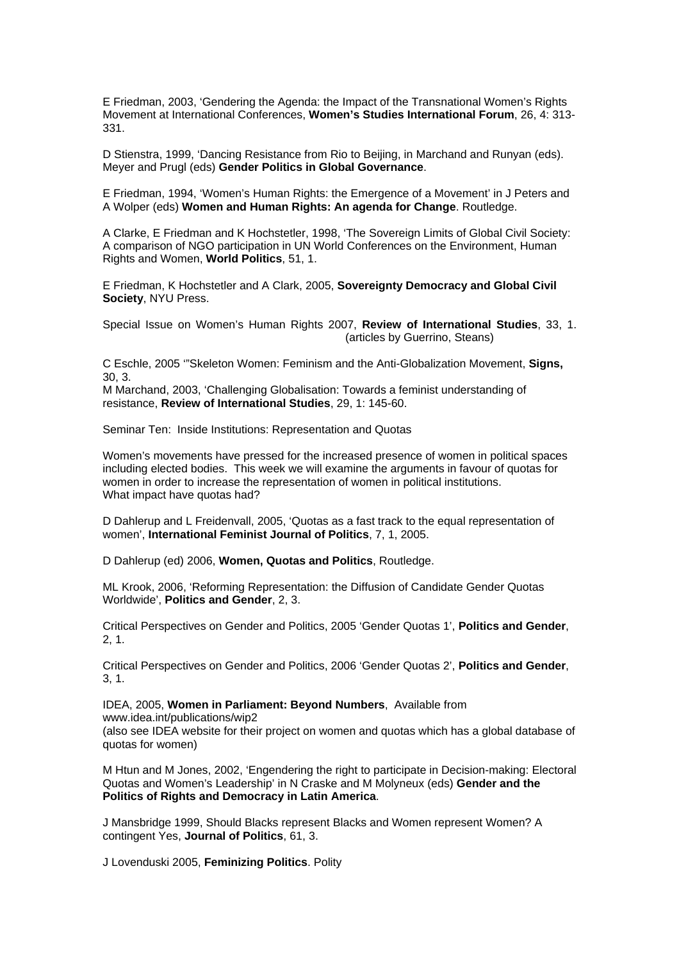E Friedman, 2003, 'Gendering the Agenda: the Impact of the Transnational Women's Rights Movement at International Conferences, **Women's Studies International Forum**, 26, 4: 313- 331.

D Stienstra, 1999, 'Dancing Resistance from Rio to Beijing, in Marchand and Runyan (eds). Meyer and Prugl (eds) **Gender Politics in Global Governance**.

E Friedman, 1994, 'Women's Human Rights: the Emergence of a Movement' in J Peters and A Wolper (eds) **Women and Human Rights: An agenda for Change**. Routledge.

A Clarke, E Friedman and K Hochstetler, 1998, 'The Sovereign Limits of Global Civil Society: A comparison of NGO participation in UN World Conferences on the Environment, Human Rights and Women, **World Politics**, 51, 1.

E Friedman, K Hochstetler and A Clark, 2005, **Sovereignty Democracy and Global Civil Society**, NYU Press.

Special Issue on Women's Human Rights 2007, **Review of International Studies**, 33, 1. (articles by Guerrino, Steans)

C Eschle, 2005 '"Skeleton Women: Feminism and the Anti-Globalization Movement, **Signs,** 30, 3.

M Marchand, 2003, 'Challenging Globalisation: Towards a feminist understanding of resistance, **Review of International Studies**, 29, 1: 145-60.

Seminar Ten: Inside Institutions: Representation and Quotas

Women's movements have pressed for the increased presence of women in political spaces including elected bodies. This week we will examine the arguments in favour of quotas for women in order to increase the representation of women in political institutions. What impact have quotas had?

D Dahlerup and L Freidenvall, 2005, 'Quotas as a fast track to the equal representation of women', **International Feminist Journal of Politics**, 7, 1, 2005.

D Dahlerup (ed) 2006, **Women, Quotas and Politics**, Routledge.

ML Krook, 2006, 'Reforming Representation: the Diffusion of Candidate Gender Quotas Worldwide', **Politics and Gender**, 2, 3.

Critical Perspectives on Gender and Politics, 2005 'Gender Quotas 1', **Politics and Gender**, 2, 1.

Critical Perspectives on Gender and Politics, 2006 'Gender Quotas 2', **Politics and Gender**, 3, 1.

IDEA, 2005, **Women in Parliament: Beyond Numbers**, Available from www.idea.int/publications/wip2

(also see IDEA website for their project on women and quotas which has a global database of quotas for women)

M Htun and M Jones, 2002, 'Engendering the right to participate in Decision-making: Electoral Quotas and Women's Leadership' in N Craske and M Molyneux (eds) **Gender and the Politics of Rights and Democracy in Latin America**.

J Mansbridge 1999, Should Blacks represent Blacks and Women represent Women? A contingent Yes, **Journal of Politics**, 61, 3.

J Lovenduski 2005, **Feminizing Politics**. Polity